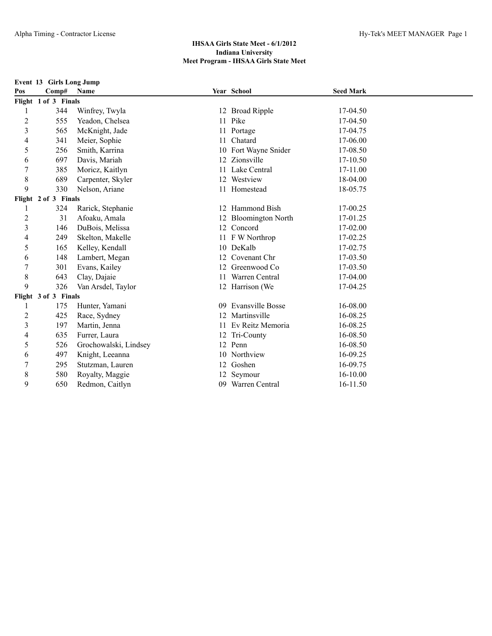**Event 13 Girls Long Jump Pos Comp# Name Year School Seed Mark Flight 1 of 3 Finals** 344 Winfrey, Twyla 12 Broad Ripple 17-04.50 555 Yeadon, Chelsea 11 Pike 17-04.50 565 McKnight, Jade 11 Portage 17-04.75 341 Meier, Sophie 11 Chatard 17-06.00 256 Smith, Karrina 10 Fort Wayne Snider 17-08.50 697 Davis, Mariah 12 Zionsville 17-10.50 385 Moricz, Kaitlyn 11 Lake Central 17-11.00 8 689 Carpenter, Skyler 12 Westview 18-04.00 330 Nelson, Ariane 11 Homestead 18-05.75 **Flight 2 of 3 Finals** 324 Rarick, Stephanie 12 Hammond Bish 17-00.25 31 Afoaku, Amala 12 Bloomington North 17-01.25 146 DuBois, Melissa 12 Concord 17-02.00 249 Skelton, Makelle 11 F W Northrop 17-02.25 165 Kelley, Kendall 10 DeKalb 17-02.75 148 Lambert, Megan 12 Covenant Chr 17-03.50 301 Evans, Kailey 12 Greenwood Co 17-03.50 8 643 Clay, Dajaie 11 Warren Central 17-04.00 326 Van Arsdel, Taylor 12 Harrison (We 17-04.25 **Flight 3 of 3 Finals** 175 Hunter, Yamani 09 Evansville Bosse 16-08.00 2 425 Race, Sydney 12 Martinsville 16-08.25 197 Martin, Jenna 11 Ev Reitz Memoria 16-08.25 635 Furrer, Laura 12 Tri-County 16-08.50 526 Grochowalski, Lindsey 12 Penn 16-08.50 497 Knight, Leeanna 10 Northview 16-09.25 295 Stutzman, Lauren 12 Goshen 16-09.75 8 580 Royalty, Maggie 12 Seymour 16-10.00 650 Redmon, Caitlyn 09 Warren Central 16-11.50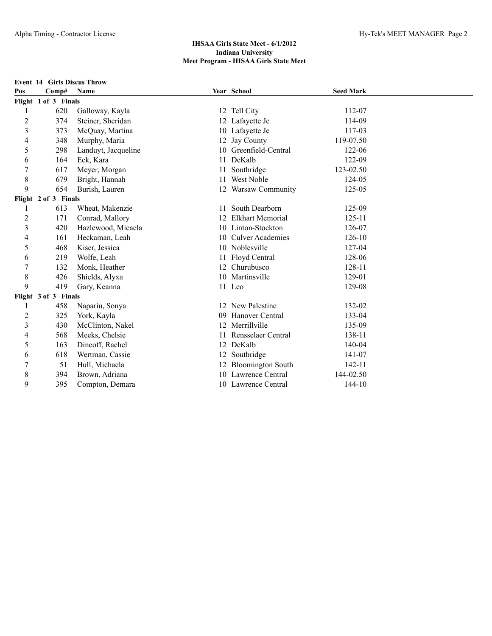|                         | <b>Event 14 Girls Discus Throw</b> |                     |    |                          |                  |  |
|-------------------------|------------------------------------|---------------------|----|--------------------------|------------------|--|
| Pos                     | Comp#                              | Name                |    | Year School              | <b>Seed Mark</b> |  |
|                         | Flight 1 of 3 Finals               |                     |    |                          |                  |  |
| 1                       | 620                                | Galloway, Kayla     |    | 12 Tell City             | 112-07           |  |
| $\overline{c}$          | 374                                | Steiner, Sheridan   |    | 12 Lafayette Je          | 114-09           |  |
| 3                       | 373                                | McQuay, Martina     |    | 10 Lafayette Je          | 117-03           |  |
| 4                       | 348                                | Murphy, Maria       | 12 | Jay County               | 119-07.50        |  |
| 5                       | 298                                | Landuyt, Jacqueline |    | 10 Greenfield-Central    | 122-06           |  |
| 6                       | 164                                | Eck, Kara           | 11 | DeKalb                   | 122-09           |  |
| 7                       | 617                                | Meyer, Morgan       | 11 | Southridge               | 123-02.50        |  |
| 8                       | 679                                | Bright, Hannah      | 11 | West Noble               | 124-05           |  |
| 9                       | 654                                | Burish, Lauren      | 12 | <b>Warsaw Community</b>  | 125-05           |  |
|                         | Flight 2 of 3 Finals               |                     |    |                          |                  |  |
| 1                       | 613                                | Wheat, Makenzie     | 11 | South Dearborn           | 125-09           |  |
| $\overline{c}$          | 171                                | Conrad, Mallory     | 12 | <b>Elkhart Memorial</b>  | $125 - 11$       |  |
| 3                       | 420                                | Hazlewood, Micaela  |    | 10 Linton-Stockton       | 126-07           |  |
| 4                       | 161                                | Heckaman, Leah      | 10 | <b>Culver Academies</b>  | 126-10           |  |
| 5                       | 468                                | Kiser, Jessica      |    | 10 Noblesville           | 127-04           |  |
| 6                       | 219                                | Wolfe, Leah         | 11 | Floyd Central            | 128-06           |  |
| 7                       | 132                                | Monk, Heather       |    | 12 Churubusco            | 128-11           |  |
| 8                       | 426                                | Shields, Alyxa      |    | 10 Martinsville          | 129-01           |  |
| 9                       | 419                                | Gary, Keanna        |    | 11 Leo                   | 129-08           |  |
|                         | Flight 3 of 3 Finals               |                     |    |                          |                  |  |
| 1                       | 458                                | Napariu, Sonya      | 12 | New Palestine            | 132-02           |  |
| $\overline{\mathbf{c}}$ | 325                                | York, Kayla         | 09 | Hanover Central          | 133-04           |  |
| 3                       | 430                                | McClinton, Nakel    | 12 | Merrillville             | 135-09           |  |
| 4                       | 568                                | Meeks, Chelsie      | 11 | Rensselaer Central       | 138-11           |  |
| 5                       | 163                                | Dincoff, Rachel     | 12 | DeKalb                   | 140-04           |  |
| 6                       | 618                                | Wertman, Cassie     | 12 | Southridge               | 141-07           |  |
| $\overline{7}$          | 51                                 | Hull, Michaela      | 12 | <b>Bloomington South</b> | 142-11           |  |
| 8                       | 394                                | Brown, Adriana      |    | 10 Lawrence Central      | 144-02.50        |  |
| 9                       | 395                                | Compton, Demara     |    | 10 Lawrence Central      | 144-10           |  |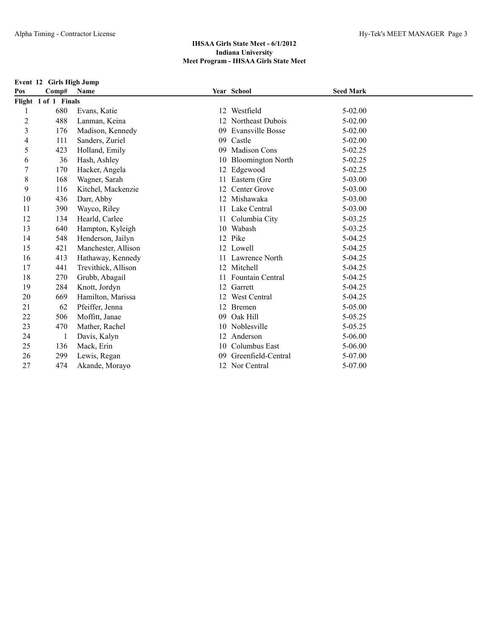**Event 12 Girls High Jump Pos Comp# Name Year School Seed Mark Flight 1 of 1 Finals** 1 680 Evans, Katie 12 Westfield 5-02.00 2 488 Lanman, Keina 12 Northeast Dubois 5-02.00 3 176 Madison, Kennedy 09 Evansville Bosse 5-02.00 4 111 Sanders, Zuriel 09 Castle 5-02.00 5 423 Holland, Emily 09 Madison Cons 5-02.25 6 36 Hash, Ashley 10 Bloomington North 5-02.25 7 170 Hacker, Angela 12 Edgewood 5-02.25 8 168 Wagner, Sarah 11 Eastern (Gre 5-03.00 9 116 Kitchel, Mackenzie 12 Center Grove 5-03.00 10 436 Darr, Abby 12 Mishawaka 5-03.00 11 390 Wayco, Riley 11 Lake Central 5-03.00 12 134 Hearld, Carlee 11 Columbia City 5-03.25 13 640 Hampton, Kyleigh 10 Wabash 5-03.25 14 548 Henderson, Jailyn 12 Pike 5-04.25 15 421 Manchester, Allison 12 Lowell 5-04.25 16 413 Hathaway, Kennedy 11 Lawrence North 5-04.25 17 441 Trevithick, Allison 12 Mitchell 5-04.25 18 270 Grubb, Abagail 11 Fountain Central 5-04.25 19 284 Knott, Jordyn 12 Garrett 5-04.25 20 669 Hamilton, Marissa 12 West Central 5-04.25 21 62 Pfeiffer, Jenna 12 Bremen 5-05.00 22 506 Moffitt, Janae 69 Oak Hill 5-05.25 23 470 Mather, Rachel 10 Noblesville 5-05.25 24 1 Davis, Kalyn 12 Anderson 5-06.00 25 136 Mack, Erin 10 Columbus East 5-06.00 26 299 Lewis, Regan 09 Greenfield-Central 5-07.00 27 474 Akande, Morayo 12 Nor Central 5-07.00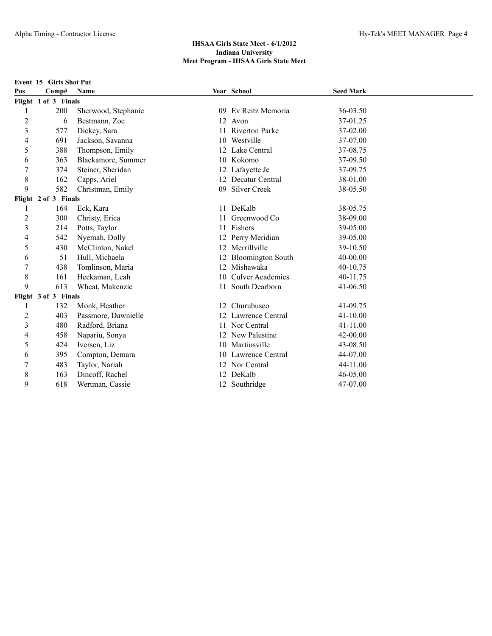**Event 15 Girls Shot Put**

| Pos                      | Comp#                | <b>Name</b>         |     | Year School              | <b>Seed Mark</b> |  |
|--------------------------|----------------------|---------------------|-----|--------------------------|------------------|--|
|                          | Flight 1 of 3 Finals |                     |     |                          |                  |  |
|                          | 200                  | Sherwood, Stephanie | -09 | Ev Reitz Memoria         | 36-03.50         |  |
| $\overline{c}$           | 6                    | Bestmann, Zoe       |     | 12 Avon                  | 37-01.25         |  |
| $\overline{3}$           | 577                  | Dickey, Sara        | 11  | <b>Riverton Parke</b>    | 37-02.00         |  |
| $\overline{\mathcal{L}}$ | 691                  | Jackson, Savanna    | 10  | Westville                | 37-07.00         |  |
| 5                        | 388                  | Thompson, Emily     | 12  | Lake Central             | 37-08.75         |  |
| 6                        | 363                  | Blackamore, Summer  | 10  | Kokomo                   | 37-09.50         |  |
| 7                        | 374                  | Steiner, Sheridan   |     | 12 Lafayette Je          | 37-09.75         |  |
| 8                        | 162                  | Capps, Ariel        |     | 12 Decatur Central       | 38-01.00         |  |
| 9                        | 582                  | Christman, Emily    | 09  | <b>Silver Creek</b>      | 38-05.50         |  |
|                          | Flight 2 of 3 Finals |                     |     |                          |                  |  |
| 1                        | 164                  | Eck, Kara           | 11  | DeKalb                   | 38-05.75         |  |
| 2                        | 300                  | Christy, Erica      |     | Greenwood Co             | 38-09.00         |  |
| $\overline{3}$           | 214                  | Potts, Taylor       | 11  | Fishers                  | 39-05.00         |  |
| 4                        | 542                  | Nyemah, Dolly       |     | 12 Perry Meridian        | 39-05.00         |  |
| 5                        | 430                  | McClinton, Nakel    |     | 12 Merrillville          | 39-10.50         |  |
| 6                        | 51                   | Hull, Michaela      |     | <b>Bloomington South</b> | 40-00.00         |  |
| $\boldsymbol{7}$         | 438                  | Tomlinson, Maria    | 12  | Mishawaka                | 40-10.75         |  |
| 8                        | 161                  | Heckaman, Leah      | 10  | <b>Culver Academies</b>  | 40-11.75         |  |
| 9                        | 613                  | Wheat, Makenzie     | 11  | South Dearborn           | 41-06.50         |  |
|                          | Flight 3 of 3 Finals |                     |     |                          |                  |  |
|                          | 132                  | Monk, Heather       |     | 12 Churubusco            | 41-09.75         |  |
| 2                        | 403                  | Passmore, Dawnielle |     | 12 Lawrence Central      | $41 - 10.00$     |  |
| 3                        | 480                  | Radford, Briana     |     | 11 Nor Central           | 41-11.00         |  |
| 4                        | 458                  | Napariu, Sonya      |     | 12 New Palestine         | $42 - 00.00$     |  |
| 5                        | 424                  | Iversen, Liz        |     | 10 Martinsville          | 43-08.50         |  |
| 6                        | 395                  | Compton, Demara     | 10  | Lawrence Central         | 44-07.00         |  |
| 7                        | 483                  | Taylor, Nariah      |     | 12 Nor Central           | 44-11.00         |  |
| 8                        | 163                  | Dincoff, Rachel     |     | 12 DeKalb                | 46-05.00         |  |
| 9                        | 618                  | Wertman, Cassie     |     | 12 Southridge            | 47-07.00         |  |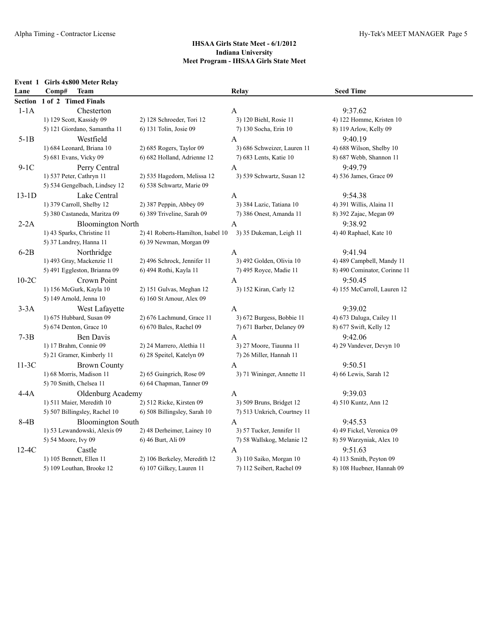| Event 1 | Girls 4x800 Meter Relay       |                                   |                             |                              |
|---------|-------------------------------|-----------------------------------|-----------------------------|------------------------------|
| Lane    | Comp#<br><b>Team</b>          |                                   | Relay                       | <b>Seed Time</b>             |
| Section | 1 of 2 Timed Finals           |                                   |                             |                              |
| $1-1A$  | Chesterton                    |                                   | A                           | 9:37.62                      |
|         | 1) 129 Scott, Kassidy 09      | 2) 128 Schroeder, Tori 12         | 3) 120 Biehl, Rosie 11      | 4) 122 Homme, Kristen 10     |
|         | 5) 121 Giordano, Samantha 11  | 6) 131 Tolin, Josie 09            | 7) 130 Socha, Erin 10       | 8) 119 Arlow, Kelly 09       |
| $5-1B$  | Westfield                     |                                   | A                           | 9:40.19                      |
|         | 1) 684 Leonard, Briana 10     | 2) 685 Rogers, Taylor 09          | 3) 686 Schweizer, Lauren 11 | 4) 688 Wilson, Shelby 10     |
|         | 5) 681 Evans, Vicky 09        | 6) 682 Holland, Adrienne 12       | 7) 683 Lents, Katie 10      | 8) 687 Webb, Shannon 11      |
| $9-1C$  | Perry Central                 |                                   | $\mathbf{A}$                | 9:49.79                      |
|         | 1) 537 Peter, Cathryn 11      | 2) 535 Hagedorn, Melissa 12       | 3) 539 Schwartz, Susan 12   | 4) 536 James, Grace 09       |
|         | 5) 534 Gengelbach, Lindsey 12 | 6) 538 Schwartz, Marie 09         |                             |                              |
| $13-1D$ | Lake Central                  |                                   | A                           | 9:54.38                      |
|         | 1) 379 Carroll, Shelby 12     | $2)$ 387 Peppin, Abbey 09         | 3) 384 Lazic, Tatiana 10    | 4) 391 Willis, Alaina 11     |
|         | 5) 380 Castaneda, Maritza 09  | 6) 389 Triveline, Sarah 09        | 7) 386 Onest, Amanda 11     | 8) 392 Zajac, Megan 09       |
| $2-2A$  | <b>Bloomington North</b>      |                                   | A                           | 9:38.92                      |
|         | 1) 43 Sparks, Christine 11    | 2) 41 Roberts-Hamilton, Isabel 10 | 3) 35 Dukeman, Leigh 11     | 4) 40 Raphael, Kate 10       |
|         | 5) 37 Landrey, Hanna 11       | 6) 39 Newman, Morgan 09           |                             |                              |
| $6-2B$  | Northridge                    |                                   | $\mathbf{A}$                | 9:41.94                      |
|         | 1) 493 Gray, Mackenzie 11     | 2) 496 Schrock, Jennifer 11       | 3) 492 Golden, Olivia 10    | 4) 489 Campbell, Mandy 11    |
|         | 5) 491 Eggleston, Brianna 09  | 6) 494 Rothi, Kayla 11            | 7) 495 Royce, Madie 11      | 8) 490 Cominator, Corinne 11 |
| $10-2C$ | Crown Point                   |                                   | A                           | 9:50.45                      |
|         | 1) 156 McGurk, Kayla 10       | 2) 151 Gulvas, Meghan 12          | 3) 152 Kiran, Carly 12      | 4) 155 McCarroll, Lauren 12  |
|         | 5) 149 Arnold, Jenna 10       | 6) 160 St Amour, Alex 09          |                             |                              |
| $3-3A$  | West Lafayette                |                                   | A                           | 9:39.02                      |
|         | 1) 675 Hubbard, Susan 09      | 2) 676 Lachmund, Grace 11         | 3) 672 Burgess, Bobbie 11   | 4) 673 Daluga, Cailey 11     |
|         | 5) 674 Denton, Grace 10       | 6) 670 Bales, Rachel 09           | 7) 671 Barber, Delaney 09   | 8) 677 Swift, Kelly 12       |
| $7-3B$  | Ben Davis                     |                                   | A                           | 9:42.06                      |
|         | 1) 17 Brahm, Connie 09        | 2) 24 Marrero, Alethia 11         | 3) 27 Moore, Tiaunna 11     | 4) 29 Vandever, Devyn 10     |
|         | 5) 21 Gramer, Kimberly 11     | 6) 28 Speitel, Katelyn 09         | 7) 26 Miller, Hannah 11     |                              |
| $11-3C$ | <b>Brown County</b>           |                                   | $\mathbf{A}$                | 9:50.51                      |
|         | 1) 68 Morris, Madison 11      | 2) 65 Guingrich, Rose 09          | 3) 71 Wininger, Annette 11  | 4) 66 Lewis, Sarah 12        |
|         | 5) 70 Smith, Chelsea 11       | 6) 64 Chapman, Tanner 09          |                             |                              |
| $4-4A$  | Oldenburg Academy             |                                   | A                           | 9:39.03                      |
|         | 1) 511 Maier, Meredith 10     | 2) 512 Ricke, Kirsten 09          | 3) 509 Bruns, Bridget 12    | 4) 510 Kuntz, Ann 12         |
|         | 5) 507 Billingsley, Rachel 10 | 6) 508 Billingsley, Sarah 10      | 7) 513 Unkrich, Courtney 11 |                              |
| 8-4B    | <b>Bloomington South</b>      |                                   | A                           | 9:45.53                      |
|         | 1) 53 Lewandowski, Alexis 09  | 2) 48 Derheimer, Lainey 10        | 3) 57 Tucker, Jennifer 11   | 4) 49 Fickel, Veronica 09    |
|         | 5) 54 Moore, Ivy 09           | 6) 46 Burt, Ali 09                | 7) 58 Wallskog, Melanie 12  | 8) 59 Warzyniak, Alex 10     |
| $12-4C$ | Castle                        |                                   | $\mathbf{A}$                | 9:51.63                      |
|         | 1) 105 Bennett, Ellen 11      | 2) 106 Berkeley, Meredith 12      | 3) 110 Saiko, Morgan 10     | 4) 113 Smith, Peyton 09      |
|         | 5) 109 Louthan, Brooke 12     | 6) 107 Gilkey, Lauren 11          | 7) 112 Seibert, Rachel 09   | 8) 108 Huebner, Hannah 09    |
|         |                               |                                   |                             |                              |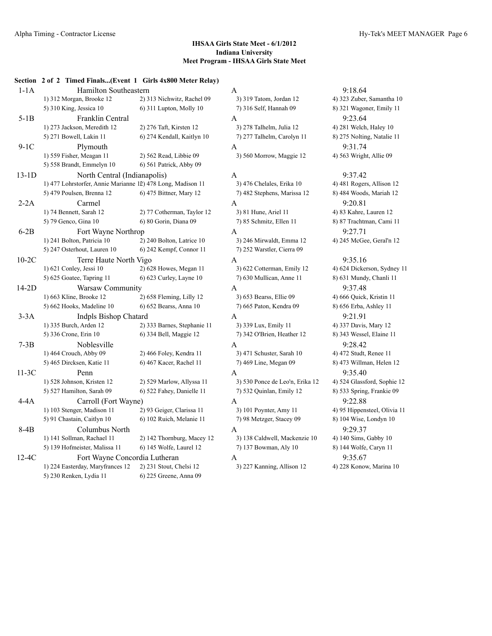|         | Section 2 of 2 Timed Finals(Event 1 Girls 4x800 Meter Relay) |                             |                                 |               |
|---------|--------------------------------------------------------------|-----------------------------|---------------------------------|---------------|
| $1-1A$  | Hamilton Southeastern                                        |                             | A                               | 9:18.64       |
|         | 1) 312 Morgan, Brooke 12                                     | 2) 313 Nichwitz, Rachel 09  | 3) 319 Tatom, Jordan 12         | 4) 323 Zuber. |
|         | 5) 310 King, Jessica 10                                      | 6) 311 Lupton, Molly 10     | 7) 316 Self, Hannah 09          | 8) 321 Wagor  |
| $5-1B$  | Franklin Central                                             |                             | A                               | 9:23.64       |
|         | 1) 273 Jackson, Meredith 12                                  | 2) 276 Taft, Kirsten 12     | 3) 278 Talhelm, Julia 12        | 4) 281 Welch  |
|         | 5) 271 Bowell, Lakin 11                                      | 6) 274 Kendall, Kaitlyn 10  | 7) 277 Talhelm, Carolyn 11      | 8) 275 Noltin |
| $9-1C$  | Plymouth                                                     |                             | A                               | 9:31.74       |
|         | 1) 559 Fisher, Meagan 11                                     | 2) 562 Read, Libbie 09      | 3) 560 Morrow, Maggie 12        | 4) 563 Wrigh  |
|         | 5) 558 Brandt, Emmelyn 10                                    | 6) 561 Patrick, Abby 09     |                                 |               |
| $13-1D$ | North Central (Indianapolis)                                 |                             | A                               | 9:37.42       |
|         | 1) 477 Lohrstorfer, Annie Marianne 12) 478 Long, Madison 11  |                             | 3) 476 Chelales, Erika 10       | 4) 481 Roger  |
|         | 5) 479 Poulsen, Brenna 12                                    | 6) 475 Bittner, Mary 12     | 7) 482 Stephens, Marissa 12     | 8) 484 Wood:  |
| $2-2A$  | Carmel                                                       |                             | A                               | 9:20.81       |
|         | 1) 74 Bennett, Sarah 12                                      | 2) 77 Cotherman, Taylor 12  | 3) 81 Hune, Ariel 11            | 4) 83 Kahre,  |
|         | 5) 79 Genco, Gina 10                                         | 6) 80 Gorin, Diana 09       | 7) 85 Schmitz, Ellen 11         | 8) 87 Trachtn |
| $6-2B$  | Fort Wayne Northrop                                          |                             | $\mathbf{A}$                    | 9:27.71       |
|         | 1) 241 Bolton, Patricia 10                                   | 2) 240 Bolton, Latrice 10   | 3) 246 Mirwaldt, Emma 12        | 4) 245 McGe   |
|         | 5) 247 Osterhout, Lauren 10                                  | 6) 242 Kempf, Connor 11     | 7) 252 Warstler, Cierra 09      |               |
| $10-2C$ | Terre Haute North Vigo                                       |                             | A                               | 9:35.16       |
|         | 1) 621 Conley, Jessi 10                                      | 2) 628 Howes, Megan 11      | 3) 622 Cotterman, Emily 12      | 4) 624 Dicke  |
|         | 5) 625 Goatee, Tapring 11                                    | 6) 623 Curley, Layne 10     | 7) 630 Mullican, Anne 11        | 8) 631 Mund   |
| 14-2D   | Warsaw Community                                             |                             | A                               | 9:37.48       |
|         | 1) 663 Kline, Brooke 12                                      | 2) 658 Fleming, Lilly 12    | 3) 653 Bearss, Ellie 09         | 4) 666 Quick  |
|         | 5) 662 Hooks, Madeline 10                                    | 6) 652 Bearss, Anna 10      | 7) 665 Paton, Kendra 09         | 8) 656 Erba,  |
| $3-3A$  | <b>Indpls Bishop Chatard</b>                                 |                             | A                               | 9:21.91       |
|         | 1) 335 Burch, Arden 12                                       | 2) 333 Barnes, Stephanie 11 | 3) 339 Lux, Emily 11            | 4) 337 Davis. |
|         | 5) 336 Crone, Erin 10                                        | 6) 334 Bell, Maggie 12      | 7) 342 O'Brien, Heather 12      | 8) 343 Wesse  |
| $7-3B$  | Noblesville                                                  |                             | A                               | 9:28.42       |
|         | 1) 464 Crouch, Abby 09                                       | 2) 466 Foley, Kendra 11     | 3) 471 Schuster, Sarah 10       | 4) 472 Studt, |
|         | 5) 465 Dircksen, Katie 11                                    | 6) 467 Kacer, Rachel 11     | 7) 469 Line, Megan 09           | 8) 473 Willm  |
| $11-3C$ | Penn                                                         |                             | A                               | 9:35.40       |
|         | 1) 528 Johnson, Kristen 12                                   | 2) 529 Marlow, Allyssa 11   | 3) 530 Ponce de Leo'n, Erika 12 | 4) 524 Glassf |
|         | 5) 527 Hamilton, Sarah 09                                    | 6) 522 Fahey, Danielle 11   | 7) 532 Quinlan, Emily 12        | 8) 533 Spring |
|         |                                                              |                             |                                 | 9:22.88       |
| $4-4A$  | Carroll (Fort Wayne)<br>1) 103 Stenger, Madison 11           | 2) 93 Geiger, Clarissa 11   | A<br>3) 101 Poynter, Amy 11     | 4) 95 Hippen  |
|         | 5) 91 Chastain, Caitlyn 10                                   | 6) 102 Ruich, Melanie 11    | 7) 98 Metzger, Stacey 09        | 8) 104 Wise,  |
|         |                                                              |                             |                                 |               |
| $8-4B$  | Columbus North                                               |                             | A                               | 9:29.37       |
|         | 1) 141 Sollman, Rachael 11                                   | 2) 142 Thornburg, Macey 12  | 3) 138 Caldwell, Mackenzie 10   | 4) 140 Sims,  |
|         | 5) 139 Hofmeister, Malissa 11                                | 6) 145 Wolfe, Laurel 12     | 7) 137 Bowman, Aly 10           | 8) 144 Wolfe  |
| 12-4C   | Fort Wayne Concordia Lutheran                                |                             | A                               | 9:35.67       |
|         | 1) 224 Easterday, Maryfrances 12                             | 2) 231 Stout, Chelsi 12     | 3) 227 Kanning, Allison 12      | 4) 228 Konov  |
|         | 5) 230 Renken, Lydia 11                                      | 6) 225 Greene, Anna 09      |                                 |               |

1) 319 Tatom, Jordan 12 4) 323 Zuber, Samantha 10 5) 310 King, Jessica 10 6) 311 Lupton, Molly 10 7) 316 Self, Hannah 09 8) 321 Wagoner, Emily 11 1) 278 Talhelm, Julia 12 3) 281 Welch, Haley 10 7) 277 Talhelm, Carolyn 11 8) 275 Nolting, Natalie 11 1) 560 Morrow, Maggie 12 4) 563 Wright, Allie 09

1) 476 Chelales, Erika 10<sup>2</sup> 494 Asia Rogers, Allison 12 7) 482 Stephens, Marissa 12 8) 484 Woods, Mariah 12 1) 81 Hune, Ariel 11 4) 83 Kahre, Lauren 12 5) 79 Genco, Gina 10 6) 80 Gorin, Diana 09 7) 85 Schmitz, Ellen 11 8) 87 Trachtman, Cami 11 1) 246 Mirwaldt, Emma 12 4) 245 McGee, Geral'n 12 7) 252 Warstler, Cierra 09 1) 622 Cotterman, Emily 12 4) 624 Dickerson, Sydney 11 7) 630 Mullican, Anne 11 8) 631 Mundy, Chanli 11 1) 653 Bearss, Ellie 09 4) 666 Quick, Kristin 11 5) 662 Hooks, Madeline 10 6) 652 Bearss, Anna 10 7) 665 Paton, Kendra 09 8) 656 Erba, Ashley 11 1) 335 Burch, Arden 12 2) 333 Barnes, Stephanie 11 3) 339 Lux, Emily 11 4) 337 Davis, Mary 12 7) 342 O'Brien, Heather 12 8) 343 Wessel, Elaine 11 1) 471 Schuster, Sarah 10 4) 472 Studt, Renee 11 7) 469 Line, Megan 09 8) 473 Willman, Helen 12 3) 530 Ponce de Leo'n, Erika 12 4) 524 Glassford, Sophie 12 7) 532 Quinlan, Emily 12 8) 533 Spring, Frankie 09 3) 101 Poynter, Amy 11 4) 95 Hippensteel, Olivia 11 7) 98 Metzger, Stacey 09 8) 104 Wise, Londyn 10 3) 138 Caldwell, Mackenzie 10 4) 140 Sims, Gabby 10 7) 137 Bowman, Aly 10 8) 144 Wolfe, Caryn 11

1) 227 Kanning, Allison 12 3) 228 Konow, Marina 10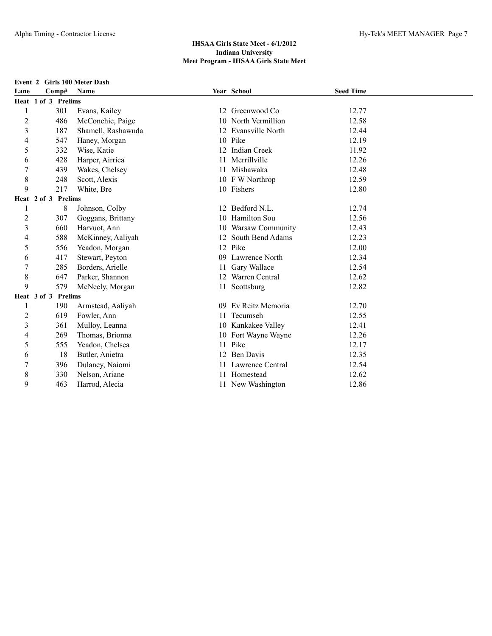#### **Event 2 Girls 100 Meter Dash**

| Lane             | Comp#               | <b>Name</b>        |    | Year School         | <b>Seed Time</b> |  |
|------------------|---------------------|--------------------|----|---------------------|------------------|--|
|                  | Heat 1 of 3 Prelims |                    |    |                     |                  |  |
|                  | 301                 | Evans, Kailey      |    | 12 Greenwood Co     | 12.77            |  |
| $\overline{c}$   | 486                 | McConchie, Paige   | 10 | North Vermillion    | 12.58            |  |
| $\overline{3}$   | 187                 | Shamell, Rashawnda |    | 12 Evansville North | 12.44            |  |
| 4                | 547                 | Haney, Morgan      |    | 10 Pike             | 12.19            |  |
| 5                | 332                 | Wise, Katie        |    | 12 Indian Creek     | 11.92            |  |
| 6                | 428                 | Harper, Airrica    | 11 | Merrillville        | 12.26            |  |
| 7                | 439                 | Wakes, Chelsey     | 11 | Mishawaka           | 12.48            |  |
| 8                | 248                 | Scott, Alexis      |    | 10 F W Northrop     | 12.59            |  |
| 9                | 217                 | White, Bre         |    | 10 Fishers          | 12.80            |  |
|                  | Heat 2 of 3 Prelims |                    |    |                     |                  |  |
| 1                | 8                   | Johnson, Colby     | 12 | Bedford N.L.        | 12.74            |  |
| $\overline{c}$   | 307                 | Goggans, Brittany  | 10 | Hamilton Sou        | 12.56            |  |
| $\mathfrak{Z}$   | 660                 | Harvuot, Ann       | 10 | Warsaw Community    | 12.43            |  |
| 4                | 588                 | McKinney, Aaliyah  |    | 12 South Bend Adams | 12.23            |  |
| 5                | 556                 | Yeadon, Morgan     |    | 12 Pike             | 12.00            |  |
| 6                | 417                 | Stewart, Peyton    |    | 09 Lawrence North   | 12.34            |  |
| $\boldsymbol{7}$ | 285                 | Borders, Arielle   | 11 | Gary Wallace        | 12.54            |  |
| 8                | 647                 | Parker, Shannon    |    | 12 Warren Central   | 12.62            |  |
| 9                | 579                 | McNeely, Morgan    |    | 11 Scottsburg       | 12.82            |  |
|                  | Heat 3 of 3 Prelims |                    |    |                     |                  |  |
| 1                | 190                 | Armstead, Aaliyah  |    | 09 Ev Reitz Memoria | 12.70            |  |
| 2                | 619                 | Fowler, Ann        |    | 11 Tecumseh         | 12.55            |  |
| 3                | 361                 | Mulloy, Leanna     |    | 10 Kankakee Valley  | 12.41            |  |
| 4                | 269                 | Thomas, Brionna    |    | 10 Fort Wayne Wayne | 12.26            |  |
| 5                | 555                 | Yeadon, Chelsea    |    | 11 Pike             | 12.17            |  |
| 6                | 18                  | Butler, Anietra    |    | 12 Ben Davis        | 12.35            |  |
| 7                | 396                 | Dulaney, Naiomi    |    | Lawrence Central    | 12.54            |  |
| 8                | 330                 | Nelson, Ariane     |    | Homestead           | 12.62            |  |
| 9                | 463                 | Harrod, Alecia     |    | 11 New Washington   | 12.86            |  |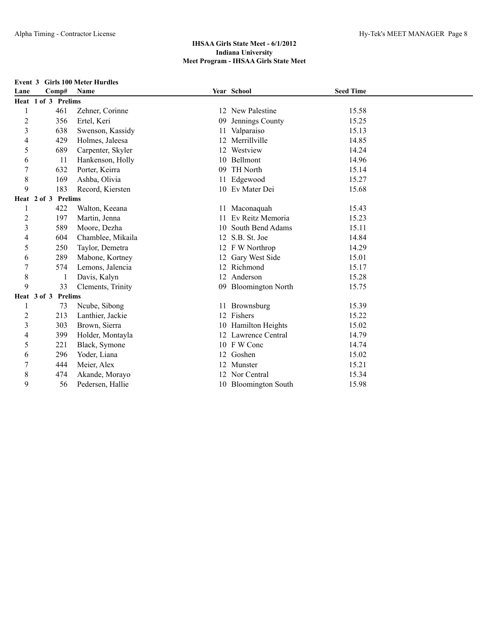#### **Event 3 Girls 100 Meter Hurdles**

| Lane                     | Comp#                         | Name              |    | Year School          | <b>Seed Time</b> |  |
|--------------------------|-------------------------------|-------------------|----|----------------------|------------------|--|
|                          | Heat 1 of 3 Prelims           |                   |    |                      |                  |  |
|                          | 461                           | Zehner, Corinne   |    | 12 New Palestine     | 15.58            |  |
| $\overline{2}$           | 356                           | Ertel, Keri       | 09 | Jennings County      | 15.25            |  |
| $\overline{3}$           | 638                           | Swenson, Kassidy  | 11 | Valparaiso           | 15.13            |  |
| 4                        | 429                           | Holmes, Jaleesa   | 12 | Merrillville         | 14.85            |  |
| 5                        | 689                           | Carpenter, Skyler |    | 12 Westview          | 14.24            |  |
| 6                        | 11                            | Hankenson, Holly  |    | 10 Bellmont          | 14.96            |  |
| 7                        | 632                           | Porter, Keirra    | 09 | TH North             | 15.14            |  |
| 8                        | 169                           | Ashba, Olivia     | 11 | Edgewood             | 15.27            |  |
| 9                        | 183                           | Record, Kiersten  |    | 10 Ev Mater Dei      | 15.68            |  |
|                          | Heat 2 of 3 Prelims           |                   |    |                      |                  |  |
| 1                        | 422                           | Walton, Keeana    |    | 11 Maconaquah        | 15.43            |  |
| 2                        | 197                           | Martin, Jenna     | 11 | Ev Reitz Memoria     | 15.23            |  |
| $\mathfrak{Z}$           | 589                           | Moore, Dezha      | 10 | South Bend Adams     | 15.11            |  |
| $\overline{\mathcal{L}}$ | 604                           | Chamblee, Mikaila |    | 12 S.B. St. Joe      | 14.84            |  |
| 5                        | 250                           | Taylor, Demetra   |    | 12 F W Northrop      | 14.29            |  |
| 6                        | 289                           | Mabone, Kortney   |    | 12 Gary West Side    | 15.01            |  |
| 7                        | 574                           | Lemons, Jalencia  |    | 12 Richmond          | 15.17            |  |
| 8                        | $\mathbf{1}$                  | Davis, Kalyn      |    | 12 Anderson          | 15.28            |  |
| 9                        | 33                            | Clements, Trinity |    | 09 Bloomington North | 15.75            |  |
|                          | Heat 3 of 3<br><b>Prelims</b> |                   |    |                      |                  |  |
| 1                        | 73                            | Ncube, Sibong     | 11 | Brownsburg           | 15.39            |  |
| $\overline{c}$           | 213                           | Lanthier, Jackie  |    | 12 Fishers           | 15.22            |  |
| $\overline{3}$           | 303                           | Brown, Sierra     |    | 10 Hamilton Heights  | 15.02            |  |
| 4                        | 399                           | Holder, Montayla  |    | 12 Lawrence Central  | 14.79            |  |
| 5                        | 221                           | Black, Symone     |    | 10 F W Conc          | 14.74            |  |
| 6                        | 296                           | Yoder, Liana      |    | 12 Goshen            | 15.02            |  |
| 7                        | 444                           | Meier, Alex       |    | 12 Munster           | 15.21            |  |
| 8                        | 474                           | Akande, Morayo    |    | 12 Nor Central       | 15.34            |  |
| 9                        | 56                            | Pedersen, Hallie  |    | 10 Bloomington South | 15.98            |  |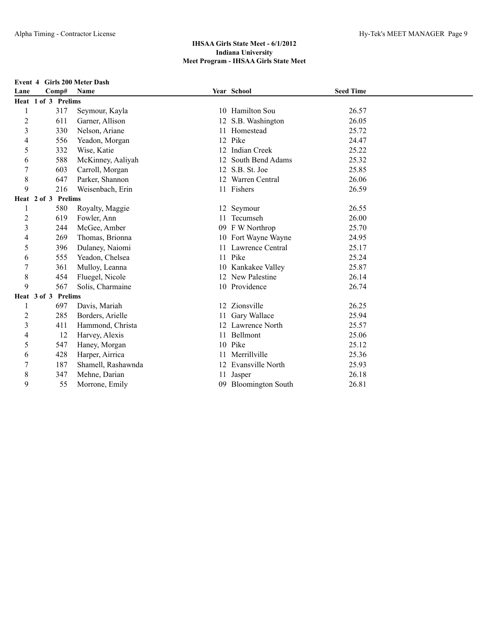#### **Event 4 Girls 200 Meter Dash**

| Lane                    |                     | Comp# | Name               |    | Year School          | <b>Seed Time</b> |  |
|-------------------------|---------------------|-------|--------------------|----|----------------------|------------------|--|
|                         | Heat 1 of 3 Prelims |       |                    |    |                      |                  |  |
|                         |                     | 317   | Seymour, Kayla     |    | 10 Hamilton Sou      | 26.57            |  |
| $\overline{c}$          |                     | 611   | Garner, Allison    | 12 | S.B. Washington      | 26.05            |  |
| $\overline{3}$          |                     | 330   | Nelson, Ariane     | 11 | Homestead            | 25.72            |  |
| 4                       |                     | 556   | Yeadon, Morgan     |    | 12 Pike              | 24.47            |  |
| 5                       |                     | 332   | Wise, Katie        |    | 12 Indian Creek      | 25.22            |  |
| 6                       |                     | 588   | McKinney, Aaliyah  | 12 | South Bend Adams     | 25.32            |  |
| $\overline{7}$          |                     | 603   | Carroll, Morgan    |    | 12 S.B. St. Joe      | 25.85            |  |
| $\,$ 8 $\,$             |                     | 647   | Parker, Shannon    |    | 12 Warren Central    | 26.06            |  |
| 9                       |                     | 216   | Weisenbach, Erin   |    | 11 Fishers           | 26.59            |  |
|                         | Heat 2 of 3 Prelims |       |                    |    |                      |                  |  |
| 1                       |                     | 580   | Royalty, Maggie    |    | 12 Seymour           | 26.55            |  |
| $\overline{2}$          |                     | 619   | Fowler, Ann        |    | 11 Tecumseh          | 26.00            |  |
| $\overline{\mathbf{3}}$ |                     | 244   | McGee, Amber       |    | 09 F W Northrop      | 25.70            |  |
| 4                       |                     | 269   | Thomas, Brionna    |    | 10 Fort Wayne Wayne  | 24.95            |  |
| 5                       |                     | 396   | Dulaney, Naiomi    |    | 11 Lawrence Central  | 25.17            |  |
| 6                       |                     | 555   | Yeadon, Chelsea    |    | 11 Pike              | 25.24            |  |
| 7                       |                     | 361   | Mulloy, Leanna     |    | 10 Kankakee Valley   | 25.87            |  |
| 8                       |                     | 454   | Fluegel, Nicole    |    | 12 New Palestine     | 26.14            |  |
| 9                       |                     | 567   | Solis, Charmaine   |    | 10 Providence        | 26.74            |  |
|                         | Heat 3 of 3 Prelims |       |                    |    |                      |                  |  |
| 1                       |                     | 697   | Davis, Mariah      |    | 12 Zionsville        | 26.25            |  |
| 2                       |                     | 285   | Borders, Arielle   | 11 | Gary Wallace         | 25.94            |  |
| $\mathfrak{Z}$          |                     | 411   | Hammond, Christa   |    | 12 Lawrence North    | 25.57            |  |
| 4                       |                     | 12    | Harvey, Alexis     |    | 11 Bellmont          | 25.06            |  |
| 5                       |                     | 547   | Haney, Morgan      |    | 10 Pike              | 25.12            |  |
| 6                       |                     | 428   | Harper, Airrica    | 11 | Merrillville         | 25.36            |  |
| 7                       |                     | 187   | Shamell, Rashawnda |    | 12 Evansville North  | 25.93            |  |
| 8                       |                     | 347   | Mehne, Darian      | 11 | Jasper               | 26.18            |  |
| 9                       |                     | 55    | Morrone, Emily     |    | 09 Bloomington South | 26.81            |  |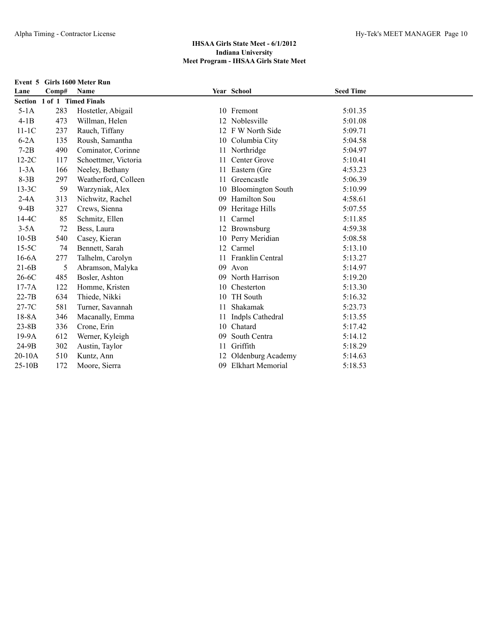| Event 5   |       | <b>Girls 1600 Meter Run</b> |    |                          |                  |  |
|-----------|-------|-----------------------------|----|--------------------------|------------------|--|
| Lane      | Comp# | Name                        |    | Year School              | <b>Seed Time</b> |  |
|           |       | Section 1 of 1 Timed Finals |    |                          |                  |  |
| $5-1A$    | 283   | Hostetler, Abigail          |    | 10 Fremont               | 5:01.35          |  |
| $4-1B$    | 473   | Willman, Helen              |    | 12 Noblesville           | 5:01.08          |  |
| $11-1C$   | 237   | Rauch, Tiffany              |    | 12 F W North Side        | 5:09.71          |  |
| $6-2A$    | 135   | Roush, Samantha             |    | 10 Columbia City         | 5:04.58          |  |
| $7-2B$    | 490   | Cominator, Corinne          |    | 11 Northridge            | 5:04.97          |  |
| $12-2C$   | 117   | Schoettmer, Victoria        | 11 | Center Grove             | 5:10.41          |  |
| $1-3A$    | 166   | Neeley, Bethany             | 11 | Eastern (Gre             | 4:53.23          |  |
| $8-3B$    | 297   | Weatherford, Colleen        | 11 | Greencastle              | 5:06.39          |  |
| $13-3C$   | 59    | Warzyniak, Alex             | 10 | <b>Bloomington South</b> | 5:10.99          |  |
| $2-4A$    | 313   | Nichwitz, Rachel            | 09 | Hamilton Sou             | 4:58.61          |  |
| $9-4B$    | 327   | Crews, Sienna               | 09 | Heritage Hills           | 5:07.55          |  |
| $14-4C$   | 85    | Schmitz, Ellen              | 11 | Carmel                   | 5:11.85          |  |
| $3-5A$    | 72    | Bess, Laura                 |    | 12 Brownsburg            | 4:59.38          |  |
| $10-5B$   | 540   | Casey, Kieran               |    | 10 Perry Meridian        | 5:08.58          |  |
| $15-5C$   | 74    | Bennett, Sarah              |    | 12 Carmel                | 5:13.10          |  |
| $16-6A$   | 277   | Talhelm, Carolyn            |    | 11 Franklin Central      | 5:13.27          |  |
| $21-6B$   | 5     | Abramson, Malyka            | 09 | Avon                     | 5:14.97          |  |
| $26-6C$   | 485   | Bosler, Ashton              | 09 | North Harrison           | 5:19.20          |  |
| $17-7A$   | 122   | Homme, Kristen              | 10 | Chesterton               | 5:13.30          |  |
| $22-7B$   | 634   | Thiede, Nikki               | 10 | <b>TH</b> South          | 5:16.32          |  |
| 27-7C     | 581   | Turner, Savannah            | 11 | Shakamak                 | 5:23.73          |  |
| $18-8A$   | 346   | Macanally, Emma             |    | Indpls Cathedral         | 5:13.55          |  |
| $23 - 8B$ | 336   | Crone, Erin                 | 10 | Chatard                  | 5:17.42          |  |
| 19-9A     | 612   | Werner, Kyleigh             | 09 | South Centra             | 5:14.12          |  |
| 24-9B     | 302   | Austin, Taylor              | 11 | Griffith                 | 5:18.29          |  |
| $20-10A$  | 510   | Kuntz, Ann                  |    | Oldenburg Academy        | 5:14.63          |  |
| 25-10B    | 172   | Moore, Sierra               | 09 | <b>Elkhart Memorial</b>  | 5:18.53          |  |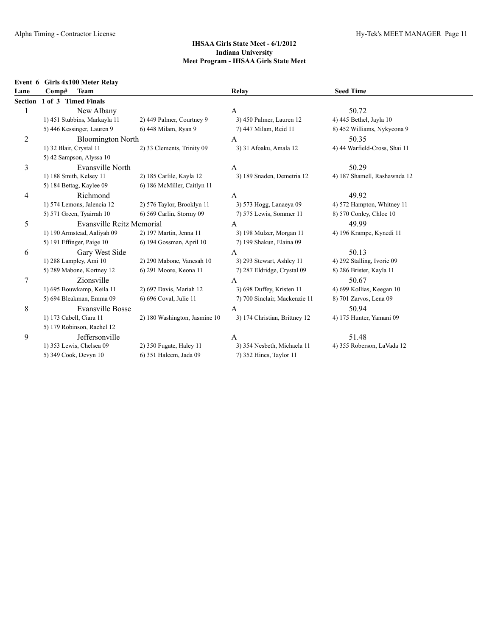## **Event 6 Girls 4x100 Meter Relay**

| Lane    | Comp#<br><b>Team</b>         |                               | Relay                         | <b>Seed Time</b>              |  |
|---------|------------------------------|-------------------------------|-------------------------------|-------------------------------|--|
| Section | 1 of 3 Timed Finals          |                               |                               |                               |  |
|         | New Albany                   |                               | A                             | 50.72                         |  |
|         | 1) 451 Stubbins, Markayla 11 | 2) 449 Palmer, Courtney 9     | 3) 450 Palmer, Lauren 12      | 4) 445 Bethel, Jayla 10       |  |
|         | 5) 446 Kessinger, Lauren 9   | 6) 448 Milam, Ryan 9          | 7) 447 Milam, Reid 11         | 8) 452 Williams, Nykyeona 9   |  |
| 2       | <b>Bloomington North</b>     |                               | A                             | 50.35                         |  |
|         | 1) 32 Blair, Crystal 11      | 2) 33 Clements, Trinity 09    | 3) 31 Afoaku, Amala 12        | 4) 44 Warfield-Cross, Shai 11 |  |
|         | 5) 42 Sampson, Alyssa 10     |                               |                               |                               |  |
| 3       | Evansville North             |                               | A                             | 50.29                         |  |
|         | 1) 188 Smith, Kelsey 11      | 2) 185 Carlile, Kayla 12      | 3) 189 Snaden, Demetria 12    | 4) 187 Shamell, Rashawnda 12  |  |
|         | 5) 184 Bettag, Kaylee 09     | 6) 186 McMiller, Caitlyn 11   |                               |                               |  |
| 4       | Richmond                     |                               | A                             | 49.92                         |  |
|         | 1) 574 Lemons, Jalencia 12   | 2) 576 Taylor, Brooklyn 11    | 3) 573 Hogg, Lanaeya 09       | 4) 572 Hampton, Whitney 11    |  |
|         | 5) 571 Green, Tyairrah 10    | 6) 569 Carlin, Stormy 09      | 7) 575 Lewis, Sommer 11       | 8) 570 Conley, Chloe 10       |  |
| 5       | Evansville Reitz Memorial    |                               | A                             | 49.99                         |  |
|         | 1) 190 Armstead, Aaliyah 09  | 2) 197 Martin, Jenna 11       | 3) 198 Mulzer, Morgan 11      | 4) 196 Krampe, Kynedi 11      |  |
|         | 5) 191 Effinger, Paige 10    | 6) 194 Gossman, April 10      | 7) 199 Shakun, Elaina 09      |                               |  |
| 6       | Gary West Side               |                               | A                             | 50.13                         |  |
|         | 1) 288 Lampley, Ami 10       | 2) 290 Mabone, Vanesah 10     | 3) 293 Stewart, Ashley 11     | 4) 292 Stalling, Ivorie 09    |  |
|         | 5) 289 Mabone, Kortney 12    | 6) 291 Moore, Keona 11        | 7) 287 Eldridge, Crystal 09   | 8) 286 Brister, Kayla 11      |  |
| 7       | Zionsville                   |                               | $\mathbf{A}$                  | 50.67                         |  |
|         | 1) 695 Bouwkamp, Keila 11    | 2) 697 Davis, Mariah 12       | 3) 698 Duffey, Kristen 11     | 4) 699 Kollias, Keegan 10     |  |
|         | 5) 694 Bleakman, Emma 09     | 6) 696 Coval, Julie 11        | 7) 700 Sinclair, Mackenzie 11 | 8) 701 Zarvos, Lena 09        |  |
| 8       | <b>Evansville Bosse</b>      |                               | $\overline{A}$                | 50.94                         |  |
|         | 1) 173 Cabell, Ciara 11      | 2) 180 Washington, Jasmine 10 | 3) 174 Christian, Brittney 12 | 4) 175 Hunter, Yamani 09      |  |
|         | 5) 179 Robinson, Rachel 12   |                               |                               |                               |  |
| 9       | Jeffersonville               |                               | A                             | 51.48                         |  |
|         | 1) 353 Lewis, Chelsea 09     | 2) 350 Fugate, Haley 11       | 3) 354 Nesbeth, Michaela 11   | 4) 355 Roberson, LaVada 12    |  |
|         | 5) 349 Cook, Devyn 10        | 6) 351 Haleem, Jada 09        | 7) 352 Hines, Taylor 11       |                               |  |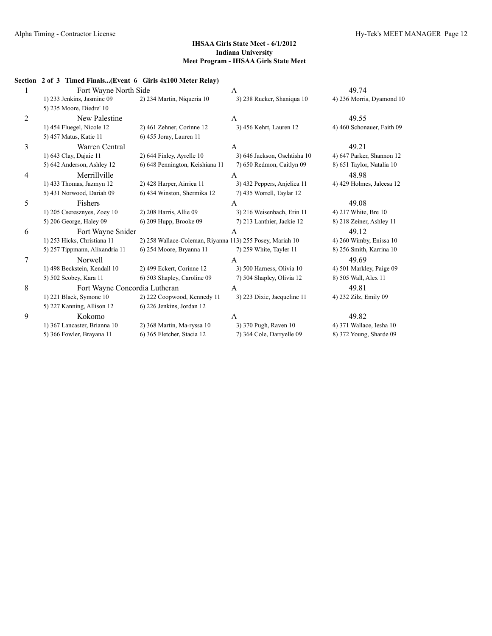|   | Section 2 of 3 Timed Finals(Event 6 Girls 4x100 Meter Relay) |                                                           |                              |                            |
|---|--------------------------------------------------------------|-----------------------------------------------------------|------------------------------|----------------------------|
|   | Fort Wayne North Side                                        |                                                           | A                            | 49.74                      |
|   | 1) 233 Jenkins, Jasmine 09                                   | 2) 234 Martin, Niqueria 10                                | 3) 238 Rucker, Shaniqua 10   | 4) 236 Morris, Dyamond 10  |
|   | 5) 235 Moore, Diedre' 10                                     |                                                           |                              |                            |
| 2 | New Palestine                                                |                                                           | $\mathsf{A}$                 | 49.55                      |
|   | 1) 454 Fluegel, Nicole 12                                    | 2) 461 Zehner, Corinne 12                                 | 3) 456 Kehrt, Lauren 12      | 4) 460 Schonauer, Faith 09 |
|   | 5) 457 Matus, Katie 11                                       | 6) 455 Joray, Lauren 11                                   |                              |                            |
| 3 | Warren Central                                               |                                                           | A                            | 49.21                      |
|   | 1) 643 Clay, Dajaie 11                                       | 2) 644 Finley, Ayrelle 10                                 | 3) 646 Jackson, Oschtisha 10 | 4) 647 Parker, Shannon 12  |
|   | 5) 642 Anderson, Ashley 12                                   | 6) 648 Pennington, Keishiana 11                           | 7) 650 Redmon, Caitlyn 09    | 8) 651 Taylor, Natalia 10  |
| 4 | Merrillville                                                 |                                                           | A                            | 48.98                      |
|   | 1) 433 Thomas, Jazmyn 12                                     | 2) 428 Harper, Airrica 11                                 | 3) 432 Peppers, Anjelica 11  | 4) 429 Holmes, Jaleesa 12  |
|   | 5) 431 Norwood, Dariah 09                                    | 6) 434 Winston, Shermika 12                               | 7) 435 Worrell, Taylar 12    |                            |
| 5 | Fishers                                                      |                                                           | A                            | 49.08                      |
|   | 1) 205 Cseresznyes, Zoey 10                                  | 2) 208 Harris, Allie 09                                   | 3) 216 Weisenbach, Erin 11   | 4) 217 White, Bre 10       |
|   | 5) 206 George, Haley 09                                      | 6) 209 Hupp, Brooke 09                                    | 7) 213 Lanthier, Jackie 12   | 8) 218 Zeiner, Ashley 11   |
| 6 | Fort Wayne Snider                                            |                                                           | A                            | 49.12                      |
|   | 1) 253 Hicks, Christiana 11                                  | 2) 258 Wallace-Coleman, Riyanna 113) 255 Posey, Mariah 10 |                              | 4) 260 Wimby, Enissa 10    |
|   | 5) 257 Tippmann, Alixandria 11                               | 6) 254 Moore, Bryanna 11                                  | 7) 259 White, Tayler 11      | 8) 256 Smith, Karrina 10   |
| 7 | <b>Norwell</b>                                               |                                                           | A                            | 49.69                      |
|   | 1) 498 Beckstein, Kendall 10                                 | 2) 499 Eckert, Corinne 12                                 | 3) 500 Harness, Olivia 10    | 4) 501 Markley, Paige 09   |
|   | 5) 502 Scobey, Kara 11                                       | 6) 503 Shapley, Caroline 09                               | 7) 504 Shapley, Olivia 12    | 8) 505 Wall, Alex 11       |
| 8 | Fort Wayne Concordia Lutheran                                |                                                           | $\mathbf{A}$                 | 49.81                      |
|   | 1) 221 Black, Symone 10                                      | 2) 222 Coopwood, Kennedy 11                               | 3) 223 Dixie, Jacqueline 11  | 4) 232 Zilz, Emily 09      |
|   | 5) 227 Kanning, Allison 12                                   | 6) 226 Jenkins, Jordan 12                                 |                              |                            |
| 9 | Kokomo                                                       |                                                           | A                            | 49.82                      |
|   | 1) 367 Lancaster, Brianna 10                                 | 2) 368 Martin, Ma-ryssa 10                                | 3) 370 Pugh, Raven 10        | 4) 371 Wallace, Iesha 10   |
|   | 5) 366 Fowler, Brayana 11                                    | 6) 365 Fletcher, Stacia 12                                | 7) 364 Cole, Darryelle 09    | 8) 372 Young, Sharde 09    |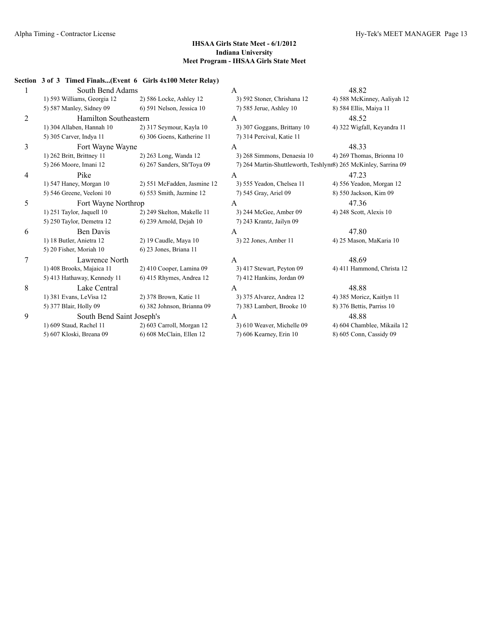|   | Section 3 of 3 Timed Finals(Event 6 Girls 4x100 Meter Relay) |                             |                             |                                                                 |
|---|--------------------------------------------------------------|-----------------------------|-----------------------------|-----------------------------------------------------------------|
|   | South Bend Adams                                             |                             | A                           | 48.82                                                           |
|   | 1) 593 Williams, Georgia 12                                  | 2) 586 Locke, Ashley 12     | 3) 592 Stoner, Chrishana 12 | 4) 588 McKinney, Aaliyah 12                                     |
|   | 5) 587 Manley, Sidney 09                                     | 6) 591 Nelson, Jessica 10   | 7) 585 Jerue, Ashley 10     | 8) 584 Ellis, Maiya 11                                          |
| 2 | Hamilton Southeastern                                        |                             | A                           | 48.52                                                           |
|   | 1) 304 Allaben, Hannah 10                                    | 2) 317 Seymour, Kayla 10    | 3) 307 Goggans, Brittany 10 | 4) 322 Wigfall, Keyandra 11                                     |
|   | 5) 305 Carver, Indya 11                                      | 6) 306 Goens, Katherine 11  | 7) 314 Percival, Katie 11   |                                                                 |
| 3 | Fort Wayne Wayne                                             |                             | A                           | 48.33                                                           |
|   | 1) 262 Britt, Brittney 11                                    | 2) 263 Long, Wanda 12       | 3) 268 Simmons, Denaesia 10 | 4) 269 Thomas, Brionna 10                                       |
|   | 5) 266 Moore, Imani 12                                       | 6) 267 Sanders, Sh'Toya 09  |                             | 7) 264 Martin-Shuttleworth, Teshlynr8) 265 McKinley, Sarrina 09 |
| 4 | Pike                                                         |                             | A                           | 47.23                                                           |
|   | 1) 547 Haney, Morgan 10                                      | 2) 551 McFadden, Jasmine 12 | 3) 555 Yeadon, Chelsea 11   | 4) 556 Yeadon, Morgan 12                                        |
|   | 5) 546 Greene, Veeloni 10                                    | 6) 553 Smith, Jazmine 12    | 7) 545 Gray, Ariel 09       | 8) 550 Jackson, Kim 09                                          |
| 5 | Fort Wayne Northrop                                          |                             | A                           | 47.36                                                           |
|   | 1) 251 Taylor, Jaquell 10                                    | 2) 249 Skelton, Makelle 11  | 3) 244 McGee, Amber 09      | 4) 248 Scott, Alexis 10                                         |
|   | 5) 250 Taylor, Demetra 12                                    | 6) 239 Arnold, Dejah 10     | 7) 243 Krantz, Jailyn 09    |                                                                 |
| 6 | <b>Ben Davis</b>                                             |                             | A                           | 47.80                                                           |
|   | 1) 18 Butler, Anietra 12                                     | 2) 19 Caudle, Maya 10       | 3) 22 Jones, Amber 11       | 4) 25 Mason, MaKaria 10                                         |
|   | 5) 20 Fisher, Moriah 10                                      | 6) 23 Jones, Briana 11      |                             |                                                                 |
| 7 | Lawrence North                                               |                             | A                           | 48.69                                                           |
|   | 1) 408 Brooks, Majaica 11                                    | 2) 410 Cooper, Lamina 09    | 3) 417 Stewart, Peyton 09   | 4) 411 Hammond, Christa 12                                      |
|   | 5) 413 Hathaway, Kennedy 11                                  | 6) 415 Rhymes, Andrea 12    | 7) 412 Hankins, Jordan 09   |                                                                 |
| 8 | Lake Central                                                 |                             | A                           | 48.88                                                           |
|   | 1) 381 Evans, LeVisa 12                                      | 2) 378 Brown, Katie 11      | 3) 375 Alvarez, Andrea 12   | 4) 385 Moricz, Kaitlyn 11                                       |
|   | 5) 377 Blair, Holly 09                                       | 6) 382 Johnson, Brianna 09  | 7) 383 Lambert, Brooke 10   | 8) 376 Bettis, Parriss 10                                       |
| 9 | South Bend Saint Joseph's                                    |                             | A                           | 48.88                                                           |
|   | 1) 609 Staud, Rachel 11                                      | 2) 603 Carroll, Morgan 12   | 3) 610 Weaver, Michelle 09  | 4) 604 Chamblee, Mikaila 12                                     |
|   | 5) 607 Kloski, Breana 09                                     | 6) 608 McClain, Ellen 12    | 7) 606 Kearney, Erin 10     | 8) 605 Conn, Cassidy 09                                         |
|   |                                                              |                             |                             |                                                                 |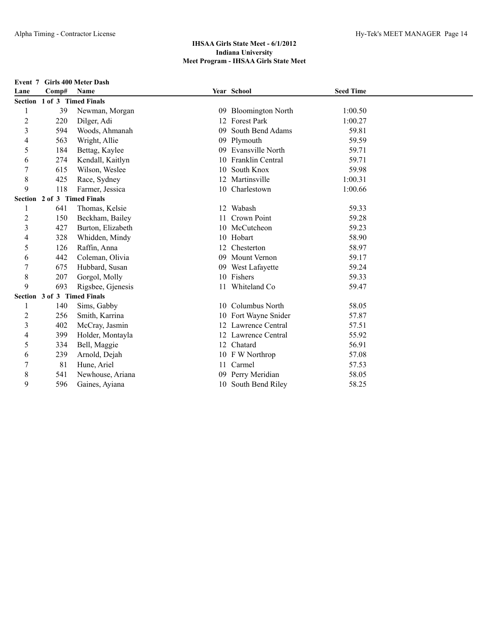|  | Event 7 Girls 400 Meter Dash |
|--|------------------------------|
|--|------------------------------|

| Lane           | Comp#                       | <b>Name</b>       |    | Year School              | <b>Seed Time</b> |  |
|----------------|-----------------------------|-------------------|----|--------------------------|------------------|--|
|                | Section 1 of 3 Timed Finals |                   |    |                          |                  |  |
|                | 39                          | Newman, Morgan    | 09 | <b>Bloomington North</b> | 1:00.50          |  |
| $\overline{c}$ | 220                         | Dilger, Adi       | 12 | <b>Forest Park</b>       | 1:00.27          |  |
| 3              | 594                         | Woods, Ahmanah    | 09 | South Bend Adams         | 59.81            |  |
| 4              | 563                         | Wright, Allie     | 09 | Plymouth                 | 59.59            |  |
| 5              | 184                         | Bettag, Kaylee    |    | 09 Evansville North      | 59.71            |  |
| 6              | 274                         | Kendall, Kaitlyn  | 10 | Franklin Central         | 59.71            |  |
| 7              | 615                         | Wilson, Weslee    | 10 | South Knox               | 59.98            |  |
| 8              | 425                         | Race, Sydney      |    | 12 Martinsville          | 1:00.31          |  |
| 9              | 118                         | Farmer, Jessica   |    | 10 Charlestown           | 1:00.66          |  |
|                | Section 2 of 3 Timed Finals |                   |    |                          |                  |  |
|                | 641                         | Thomas, Kelsie    | 12 | Wabash                   | 59.33            |  |
| $\overline{c}$ | 150                         | Beckham, Bailey   |    | Crown Point              | 59.28            |  |
| 3              | 427                         | Burton, Elizabeth |    | 10 McCutcheon            | 59.23            |  |
| 4              | 328                         | Whidden, Mindy    |    | 10 Hobart                | 58.90            |  |
| 5              | 126                         | Raffin, Anna      | 12 | Chesterton               | 58.97            |  |
| 6              | 442                         | Coleman, Olivia   | 09 | <b>Mount Vernon</b>      | 59.17            |  |
| 7              | 675                         | Hubbard, Susan    |    | 09 West Lafayette        | 59.24            |  |
| 8              | 207                         | Gorgol, Molly     |    | 10 Fishers               | 59.33            |  |
| 9              | 693                         | Rigsbee, Gjenesis |    | 11 Whiteland Co          | 59.47            |  |
|                | Section 3 of 3 Timed Finals |                   |    |                          |                  |  |
|                | 140                         | Sims, Gabby       |    | 10 Columbus North        | 58.05            |  |
| 2              | 256                         | Smith, Karrina    |    | 10 Fort Wayne Snider     | 57.87            |  |
| 3              | 402                         | McCray, Jasmin    |    | 12 Lawrence Central      | 57.51            |  |
| 4              | 399                         | Holder, Montayla  |    | 12 Lawrence Central      | 55.92            |  |
| 5              | 334                         | Bell, Maggie      |    | 12 Chatard               | 56.91            |  |
| 6              | 239                         | Arnold, Dejah     |    | 10 F W Northrop          | 57.08            |  |
| 7              | 81                          | Hune, Ariel       | 11 | Carmel                   | 57.53            |  |
| 8              | 541                         | Newhouse, Ariana  |    | 09 Perry Meridian        | 58.05            |  |
| 9              | 596                         | Gaines, Ayiana    |    | 10 South Bend Riley      | 58.25            |  |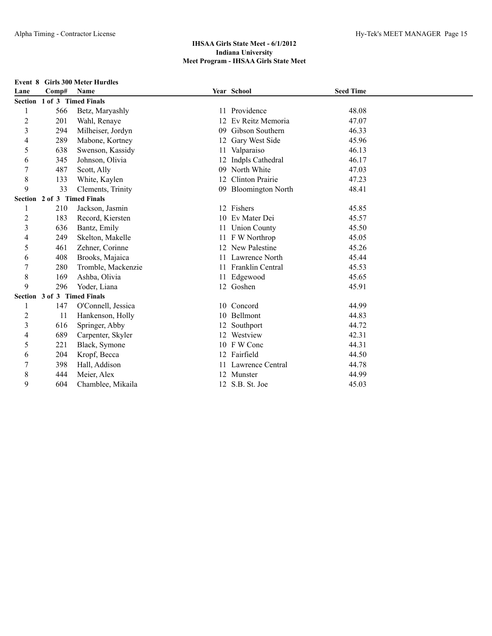| Lane                    | Comp#                       | <b>Name</b>        |    | Year School            | <b>Seed Time</b> |  |
|-------------------------|-----------------------------|--------------------|----|------------------------|------------------|--|
|                         | Section 1 of 3 Timed Finals |                    |    |                        |                  |  |
|                         | 566                         | Betz, Maryashly    | 11 | Providence             | 48.08            |  |
| $\overline{c}$          | 201                         | Wahl, Renaye       | 12 | Ev Reitz Memoria       | 47.07            |  |
| $\overline{\mathbf{3}}$ | 294                         | Milheiser, Jordyn  | 09 | Gibson Southern        | 46.33            |  |
| 4                       | 289                         | Mabone, Kortney    | 12 | Gary West Side         | 45.96            |  |
| 5                       | 638                         | Swenson, Kassidy   | 11 | Valparaiso             | 46.13            |  |
| 6                       | 345                         | Johnson, Olivia    | 12 | Indpls Cathedral       | 46.17            |  |
| $\overline{7}$          | 487                         | Scott, Ally        | 09 | North White            | 47.03            |  |
| 8                       | 133                         | White, Kaylen      | 12 | <b>Clinton Prairie</b> | 47.23            |  |
| 9                       | 33                          | Clements, Trinity  |    | 09 Bloomington North   | 48.41            |  |
|                         | Section 2 of 3 Timed Finals |                    |    |                        |                  |  |
| 1                       | 210                         | Jackson, Jasmin    |    | 12 Fishers             | 45.85            |  |
| $\overline{c}$          | 183                         | Record, Kiersten   |    | 10 Ev Mater Dei        | 45.57            |  |
| $\overline{\mathbf{3}}$ | 636                         | Bantz, Emily       | 11 | <b>Union County</b>    | 45.50            |  |
| 4                       | 249                         | Skelton, Makelle   | 11 | F W Northrop           | 45.05            |  |
| 5                       | 461                         | Zehner, Corinne    |    | 12 New Palestine       | 45.26            |  |
| 6                       | 408                         | Brooks, Majaica    | 11 | Lawrence North         | 45.44            |  |
| 7                       | 280                         | Tromble, Mackenzie | 11 | Franklin Central       | 45.53            |  |
| 8                       | 169                         | Ashba, Olivia      | 11 | Edgewood               | 45.65            |  |
| 9                       | 296                         | Yoder, Liana       |    | 12 Goshen              | 45.91            |  |
|                         | Section 3 of 3 Timed Finals |                    |    |                        |                  |  |
|                         | 147                         | O'Connell, Jessica |    | 10 Concord             | 44.99            |  |
| $\overline{c}$          | 11                          | Hankenson, Holly   |    | 10 Bellmont            | 44.83            |  |
| $\overline{\mathbf{3}}$ | 616                         | Springer, Abby     | 12 | Southport              | 44.72            |  |
| 4                       | 689                         | Carpenter, Skyler  |    | 12 Westview            | 42.31            |  |
| 5                       | 221                         | Black, Symone      |    | 10 F W Conc            | 44.31            |  |
| 6                       | 204                         | Kropf, Becca       |    | 12 Fairfield           | 44.50            |  |
| 7                       | 398                         | Hall, Addison      |    | 11 Lawrence Central    | 44.78            |  |
| 8                       | 444                         | Meier, Alex        |    | 12 Munster             | 44.99            |  |
| 9                       | 604                         | Chamblee, Mikaila  |    | 12 S.B. St. Joe        | 45.03            |  |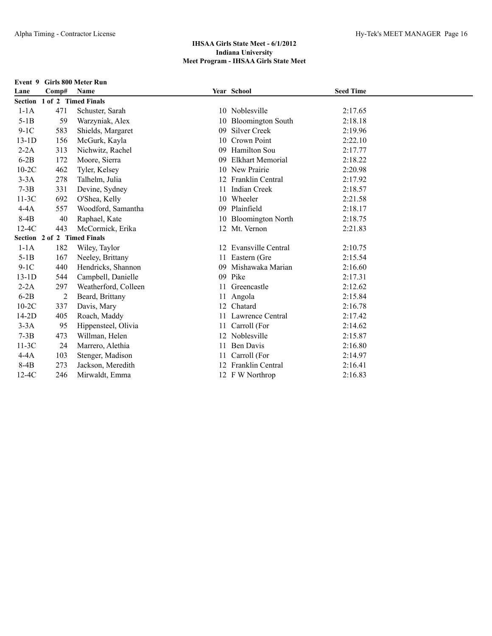| Event 9 | <b>Girls 800 Meter Run</b>  |                             |    |                          |                  |  |  |  |
|---------|-----------------------------|-----------------------------|----|--------------------------|------------------|--|--|--|
| Lane    | Comp#                       | <b>Name</b>                 |    | Year School              | <b>Seed Time</b> |  |  |  |
|         | Section 1 of 2 Timed Finals |                             |    |                          |                  |  |  |  |
| $1-1A$  | 471                         | Schuster, Sarah             |    | 10 Noblesville           | 2:17.65          |  |  |  |
| $5-1B$  | 59                          | Warzyniak, Alex             |    | 10 Bloomington South     | 2:18.18          |  |  |  |
| $9-1C$  | 583                         | Shields, Margaret           | 09 | <b>Silver Creek</b>      | 2:19.96          |  |  |  |
| $13-1D$ | 156                         | McGurk, Kayla               | 10 | Crown Point              | 2:22.10          |  |  |  |
| $2-2A$  | 313                         | Nichwitz, Rachel            | 09 | Hamilton Sou             | 2:17.77          |  |  |  |
| $6-2B$  | 172                         | Moore, Sierra               | 09 | <b>Elkhart Memorial</b>  | 2:18.22          |  |  |  |
| $10-2C$ | 462                         | Tyler, Kelsey               | 10 | New Prairie              | 2:20.98          |  |  |  |
| $3-3A$  | 278                         | Talhelm, Julia              |    | Franklin Central         | 2:17.92          |  |  |  |
| $7-3B$  | 331                         | Devine, Sydney              | 11 | <b>Indian Creek</b>      | 2:18.57          |  |  |  |
| $11-3C$ | 692                         | O'Shea, Kelly               | 10 | Wheeler                  | 2:21.58          |  |  |  |
| $4-4A$  | 557                         | Woodford, Samantha          | 09 | Plainfield               | 2:18.17          |  |  |  |
| $8-4B$  | 40                          | Raphael, Kate               | 10 | <b>Bloomington North</b> | 2:18.75          |  |  |  |
| $12-4C$ | 443                         | McCormick, Erika            |    | 12 Mt. Vernon            | 2:21.83          |  |  |  |
|         |                             | Section 2 of 2 Timed Finals |    |                          |                  |  |  |  |
| $1-1A$  | 182                         | Wiley, Taylor               | 12 | Evansville Central       | 2:10.75          |  |  |  |
| $5-1B$  | 167                         | Neeley, Brittany            | 11 | Eastern (Gre             | 2:15.54          |  |  |  |
| $9-1C$  | 440                         | Hendricks, Shannon          | 09 | Mishawaka Marian         | 2:16.60          |  |  |  |
| $13-1D$ | 544                         | Campbell, Danielle          | 09 | Pike                     | 2:17.31          |  |  |  |
| $2-2A$  | 297                         | Weatherford, Colleen        | 11 | Greencastle              | 2:12.62          |  |  |  |
| $6-2B$  | 2                           | Beard, Brittany             |    | Angola                   | 2:15.84          |  |  |  |
| $10-2C$ | 337                         | Davis, Mary                 | 12 | Chatard                  | 2:16.78          |  |  |  |
| $14-2D$ | 405                         | Roach, Maddy                |    | 11 Lawrence Central      | 2:17.42          |  |  |  |
| $3-3A$  | 95                          | Hippensteel, Olivia         | 11 | Carroll (For             | 2:14.62          |  |  |  |
| $7-3B$  | 473                         | Willman, Helen              |    | Noblesville              | 2:15.87          |  |  |  |
| $11-3C$ | 24                          | Marrero, Alethia            |    | <b>Ben Davis</b>         | 2:16.80          |  |  |  |
| $4-4A$  | 103                         | Stenger, Madison            | 11 | Carroll (For             | 2:14.97          |  |  |  |
| $8-4B$  | 273                         | Jackson, Meredith           |    | Franklin Central         | 2:16.41          |  |  |  |
| $12-4C$ | 246                         | Mirwaldt, Emma              |    | 12 F W Northrop          | 2:16.83          |  |  |  |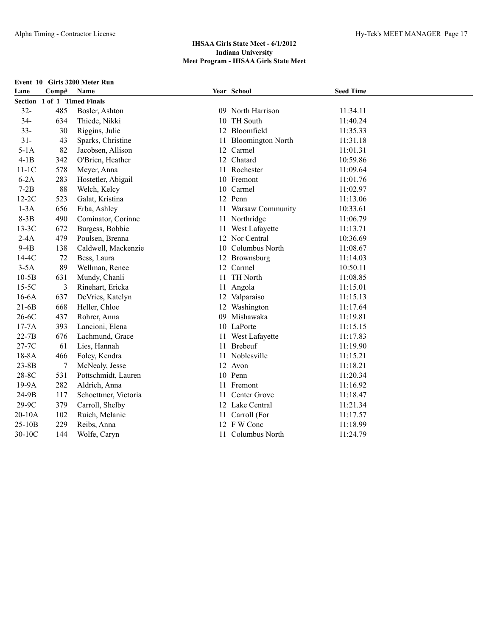|           | Event 10 Girls 3200 Meter Run |                             |    |                          |                  |  |
|-----------|-------------------------------|-----------------------------|----|--------------------------|------------------|--|
| Lane      | Comp#                         | Name                        |    | Year School              | <b>Seed Time</b> |  |
|           |                               | Section 1 of 1 Timed Finals |    |                          |                  |  |
| $32 -$    | 485                           | Bosler, Ashton              |    | 09 North Harrison        | 11:34.11         |  |
| $34 -$    | 634                           | Thiede, Nikki               |    | 10 TH South              | 11:40.24         |  |
| $33 -$    | 30                            | Riggins, Julie              |    | 12 Bloomfield            | 11:35.33         |  |
| $31 -$    | 43                            | Sparks, Christine           | 11 | <b>Bloomington North</b> | 11:31.18         |  |
| $5-1A$    | 82                            | Jacobsen, Allison           | 12 | Carmel                   | 11:01.31         |  |
| $4-1B$    | 342                           | O'Brien, Heather            |    | 12 Chatard               | 10:59.86         |  |
| $11-1C$   | 578                           | Meyer, Anna                 |    | 11 Rochester             | 11:09.64         |  |
| $6-2A$    | 283                           | Hostetler, Abigail          |    | 10 Fremont               | 11:01.76         |  |
| $7-2B$    | 88                            | Welch, Kelcy                |    | 10 Carmel                | 11:02.97         |  |
| $12-2C$   | 523                           | Galat, Kristina             |    | 12 Penn                  | 11:13.06         |  |
| $1-3A$    | 656                           | Erba, Ashley                |    | 11 Warsaw Community      | 10:33.61         |  |
| $8-3B$    | 490                           | Cominator, Corinne          |    | 11 Northridge            | 11:06.79         |  |
| $13-3C$   | 672                           | Burgess, Bobbie             |    | 11 West Lafayette        | 11:13.71         |  |
| $2-4A$    | 479                           | Poulsen, Brenna             |    | 12 Nor Central           | 10:36.69         |  |
| $9-4B$    | 138                           | Caldwell, Mackenzie         |    | 10 Columbus North        | 11:08.67         |  |
| $14-4C$   | 72                            | Bess, Laura                 |    | 12 Brownsburg            | 11:14.03         |  |
| $3-5A$    | 89                            | Wellman, Renee              |    | 12 Carmel                | 10:50.11         |  |
| $10-5B$   | 631                           | Mundy, Chanli               | 11 | <b>TH North</b>          | 11:08.85         |  |
| $15-5C$   | 3                             | Rinehart, Ericka            | 11 | Angola                   | 11:15.01         |  |
| $16-6A$   | 637                           | DeVries, Katelyn            |    | 12 Valparaiso            | 11:15.13         |  |
| $21-6B$   | 668                           | Heller, Chloe               |    | 12 Washington            | 11:17.64         |  |
| $26-6C$   | 437                           | Rohrer, Anna                | 09 | Mishawaka                | 11:19.81         |  |
| $17-7A$   | 393                           | Lancioni, Elena             |    | 10 LaPorte               | 11:15.15         |  |
| $22-7B$   | 676                           | Lachmund, Grace             |    | 11 West Lafayette        | 11:17.83         |  |
| 27-7C     | 61                            | Lies, Hannah                |    | 11 Brebeuf               | 11:19.90         |  |
| 18-8A     | 466                           | Foley, Kendra               |    | 11 Noblesville           | 11:15.21         |  |
| $23 - 8B$ | 7                             | McNealy, Jesse              |    | 12 Avon                  | 11:18.21         |  |
| 28-8C     | 531                           | Pottschmidt, Lauren         |    | 10 Penn                  | 11:20.34         |  |
| 19-9A     | 282                           | Aldrich, Anna               |    | 11 Fremont               | 11:16.92         |  |
| 24-9B     | 117                           | Schoettmer, Victoria        |    | 11 Center Grove          | 11:18.47         |  |
| 29-9C     | 379                           | Carroll, Shelby             |    | 12 Lake Central          | 11:21.34         |  |
| 20-10A    | 102                           | Ruich, Melanie              |    | 11 Carroll (For          | 11:17.57         |  |
| 25-10B    | 229                           | Reibs, Anna                 |    | 12 FW Conc               | 11:18.99         |  |
| 30-10C    | 144                           | Wolfe, Caryn                |    | 11 Columbus North        | 11:24.79         |  |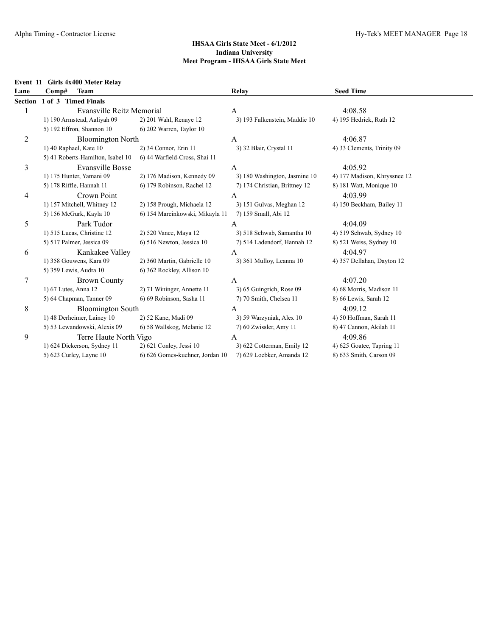#### **Event 11 Girls 4x400 Meter Relay**

| Lane           | <b>Team</b><br>Comp#              |                                 | Relay                         | <b>Seed Time</b>             |
|----------------|-----------------------------------|---------------------------------|-------------------------------|------------------------------|
|                | Section 1 of 3 Timed Finals       |                                 |                               |                              |
|                | Evansville Reitz Memorial         |                                 | A                             | 4:08.58                      |
|                | 1) 190 Armstead, Aaliyah 09       | 2) 201 Wahl, Renaye 12          | 3) 193 Falkenstein, Maddie 10 | 4) 195 Hedrick, Ruth 12      |
|                | 5) 192 Effron, Shannon 10         | 6) 202 Warren, Taylor 10        |                               |                              |
| $\overline{c}$ | <b>Bloomington North</b>          |                                 | A                             | 4:06.87                      |
|                | 1) 40 Raphael, Kate 10            | 2) 34 Connor, Erin 11           | 3) 32 Blair, Crystal 11       | 4) 33 Clements, Trinity 09   |
|                | 5) 41 Roberts-Hamilton, Isabel 10 | 6) 44 Warfield-Cross, Shai 11   |                               |                              |
| 3              | Evansville Bosse                  |                                 | A                             | 4:05.92                      |
|                | 1) 175 Hunter, Yamani 09          | 2) 176 Madison, Kennedy 09      | 3) 180 Washington, Jasmine 10 | 4) 177 Madison, Khryssnee 12 |
|                | 5) 178 Riffle, Hannah 11          | 6) 179 Robinson, Rachel 12      | 7) 174 Christian, Brittney 12 | 8) 181 Watt, Monique 10      |
| 4              | Crown Point                       |                                 | A                             | 4:03.99                      |
|                | 1) 157 Mitchell, Whitney 12       | 2) 158 Prough, Michaela 12      | 3) 151 Gulvas, Meghan 12      | 4) 150 Beckham, Bailey 11    |
|                | 5) 156 McGurk, Kayla 10           | 6) 154 Marcinkowski, Mikayla 11 | 7) 159 Small, Abi 12          |                              |
| 5              | Park Tudor                        |                                 | A                             | 4:04.09                      |
|                | 1) 515 Lucas, Christine 12        | 2) 520 Vance, Maya 12           | 3) 518 Schwab, Samantha 10    | 4) 519 Schwab, Sydney 10     |
|                | 5) 517 Palmer, Jessica 09         | 6) 516 Newton, Jessica 10       | 7) 514 Ladendorf, Hannah 12   | 8) 521 Weiss, Sydney 10      |
| 6              | Kankakee Valley                   |                                 | A                             | 4:04.97                      |
|                | 1) 358 Gouwens, Kara 09           | 2) 360 Martin, Gabrielle 10     | 3) 361 Mulloy, Leanna 10      | 4) 357 Dellahan, Dayton 12   |
|                | 5) 359 Lewis, Audra 10            | 6) 362 Rockley, Allison 10      |                               |                              |
| 7              | <b>Brown County</b>               |                                 | A                             | 4:07.20                      |
|                | 1) 67 Lutes, Anna 12              | 2) 71 Wininger, Annette 11      | 3) 65 Guingrich, Rose 09      | 4) 68 Morris, Madison 11     |
|                | 5) 64 Chapman, Tanner 09          | 6) 69 Robinson, Sasha 11        | 7) 70 Smith, Chelsea 11       | 8) 66 Lewis, Sarah 12        |
| 8              | <b>Bloomington South</b>          |                                 | A                             | 4:09.12                      |
|                | 1) 48 Derheimer, Lainey 10        | 2) 52 Kane, Madi 09             | 3) 59 Warzyniak, Alex 10      | 4) 50 Hoffman, Sarah 11      |
|                | 5) 53 Lewandowski, Alexis 09      | 6) 58 Wallskog, Melanie 12      | 7) 60 Zwissler, Amy 11        | 8) 47 Cannon, Akilah 11      |
| 9              | Terre Haute North Vigo            |                                 | A                             | 4:09.86                      |
|                | 1) 624 Dickerson, Sydney 11       | 2) 621 Conley, Jessi 10         | 3) 622 Cotterman, Emily 12    | 4) 625 Goatee, Tapring 11    |
|                | 5) 623 Curley, Layne 10           | 6) 626 Gomes-kuehner, Jordan 10 | 7) 629 Loebker, Amanda 12     | 8) 633 Smith, Carson 09      |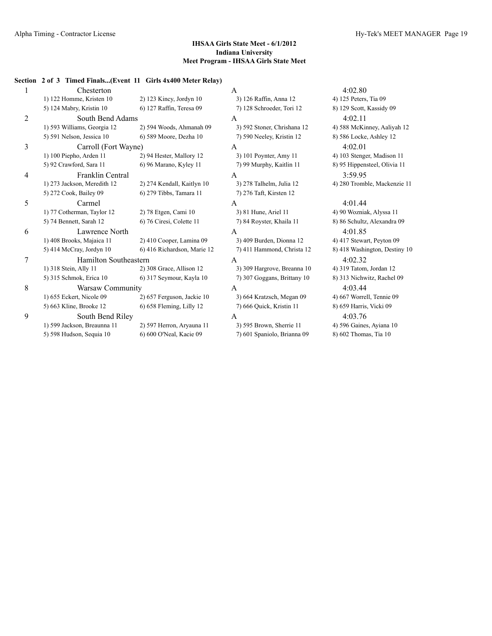| 1 | Chesterton                   |                             | A                           | 4:02.80                       |
|---|------------------------------|-----------------------------|-----------------------------|-------------------------------|
|   | 1) 122 Homme, Kristen 10     | 2) 123 Kincy, Jordyn 10     | 3) 126 Raffin, Anna 12      | 4) 125 Peters, Tia 09         |
|   | 5) 124 Mabry, Kristin 10     | 6) 127 Raffin, Teresa 09    | 7) 128 Schroeder, Tori 12   | 8) 129 Scott, Kassidy 09      |
| 2 | South Bend Adams             |                             | A                           | 4:02.11                       |
|   | 1) 593 Williams, Georgia 12  | 2) 594 Woods, Ahmanah 09    | 3) 592 Stoner, Chrishana 12 | 4) 588 McKinney, Aaliyah 12   |
|   | 5) 591 Nelson, Jessica 10    | 6) 589 Moore, Dezha 10      | 7) 590 Neeley, Kristin 12   | 8) 586 Locke, Ashley 12       |
| 3 | Carroll (Fort Wayne)         |                             | $\mathsf{A}$                | 4:02.01                       |
|   | 1) 100 Piepho, Arden 11      | 2) 94 Hester, Mallory 12    | 3) 101 Poynter, Amy 11      | 4) 103 Stenger, Madison 11    |
|   | 5) 92 Crawford, Sara 11      | 6) 96 Marano, Kyley 11      | 7) 99 Murphy, Kaitlin 11    | 8) 95 Hippensteel, Olivia 11  |
| 4 | Franklin Central             |                             | $\mathsf{A}$                | 3:59.95                       |
|   | 1) 273 Jackson, Meredith 12  | 2) 274 Kendall, Kaitlyn 10  | 3) 278 Talhelm, Julia 12    | 4) 280 Tromble, Mackenzie 11  |
|   | 5) 272 Cook, Bailey 09       | 6) 279 Tibbs, Tamara 11     | 7) 276 Taft, Kirsten 12     |                               |
| 5 | Carmel                       |                             | $\overline{A}$              | 4:01.44                       |
|   | 1) 77 Cotherman, Taylor 12   | 2) 78 Etgen, Cami 10        | 3) 81 Hune, Ariel 11        | 4) 90 Wozniak, Alyssa 11      |
|   | 5) 74 Bennett, Sarah 12      | 6) 76 Ciresi, Colette 11    | 7) 84 Royster, Khaila 11    | 8) 86 Schultz, Alexandra 09   |
| 6 | Lawrence North               |                             | $\overline{A}$              | 4:01.85                       |
|   | 1) 408 Brooks, Majaica 11    | 2) 410 Cooper, Lamina 09    | 3) 409 Burden, Dionna 12    | 4) 417 Stewart, Peyton 09     |
|   | 5) 414 McCray, Jordyn 10     | 6) 416 Richardson, Marie 12 | 7) 411 Hammond, Christa 12  | 8) 418 Washington, Destiny 10 |
| 7 | <b>Hamilton Southeastern</b> |                             | $\overline{A}$              | 4:02.32                       |
|   | 1) 318 Stein, Ally 11        | 2) 308 Grace, Allison 12    | 3) 309 Hargrove, Breanna 10 | 4) 319 Tatom, Jordan 12       |
|   | 5) 315 Schmok, Erica 10      | 6) 317 Seymour, Kayla 10    | 7) 307 Goggans, Brittany 10 | 8) 313 Nichwitz, Rachel 09    |
| 8 | Warsaw Community             |                             | $\mathsf{A}$                | 4:03.44                       |
|   | 1) 655 Eckert, Nicole 09     | 2) 657 Ferguson, Jackie 10  | 3) 664 Kratzsch, Megan 09   | 4) 667 Worrell, Tennie 09     |
|   | 5) 663 Kline, Brooke 12      | 6) 658 Fleming, Lilly 12    | 7) 666 Quick, Kristin 11    | 8) 659 Harris, Vicki 09       |
| 9 | South Bend Riley             |                             | $\mathsf{A}$                | 4:03.76                       |
|   | 1) 599 Jackson, Breaunna 11  | 2) 597 Herron, Aryauna 11   | 3) 595 Brown, Sherrie 11    | 4) 596 Gaines, Ayiana 10      |
|   | 5) 598 Hudson, Sequia 10     | 6) 600 O'Neal, Kacie 09     | 7) 601 Spaniolo, Brianna 09 | 8) 602 Thomas, Tia 10         |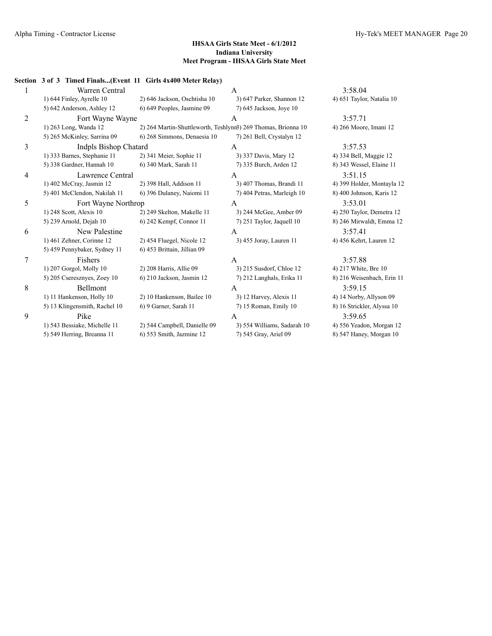|                | Section 3 of 3 Timed Finals(Event 11 Girls 4x400 Meter Relay) |                              |                                                               |                            |
|----------------|---------------------------------------------------------------|------------------------------|---------------------------------------------------------------|----------------------------|
| 1              | Warren Central                                                |                              | A                                                             | 3:58.04                    |
|                | 1) 644 Finley, Ayrelle 10                                     | 2) 646 Jackson, Oschtisha 10 | 3) 647 Parker, Shannon 12                                     | 4) 651 Taylor, Natalia 10  |
|                | 5) 642 Anderson, Ashley 12                                    | 6) 649 Peoples, Jasmine 09   | 7) 645 Jackson, Joye 10                                       |                            |
| $\overline{c}$ | Fort Wayne Wayne                                              |                              | A                                                             | 3:57.71                    |
|                | 1) 263 Long, Wanda 12                                         |                              | 2) 264 Martin-Shuttleworth, Teshlynn3) 269 Thomas, Brionna 10 | 4) 266 Moore, Imani 12     |
|                | 5) 265 McKinley, Sarrina 09                                   | 6) 268 Simmons, Denaesia 10  | 7) 261 Bell, Crystalyn 12                                     |                            |
| 3              | <b>Indpls Bishop Chatard</b>                                  |                              | A                                                             | 3:57.53                    |
|                | 1) 333 Barnes, Stephanie 11                                   | 2) 341 Meier, Sophie 11      | 3) 337 Davis, Mary 12                                         | 4) 334 Bell, Maggie 12     |
|                | 5) 338 Gardner, Hannah 10                                     | 6) 340 Mark, Sarah 11        | 7) 335 Burch, Arden 12                                        | 8) 343 Wessel, Elaine 11   |
| 4              | Lawrence Central                                              |                              | A                                                             | 3:51.15                    |
|                | 1) 402 McCray, Jasmin 12                                      | 2) 398 Hall, Addison 11      | 3) 407 Thomas, Brandi 11                                      | 4) 399 Holder, Montayla 12 |
|                | 5) 401 McClendon, Nakilah 11                                  | 6) 396 Dulaney, Naiomi 11    | 7) 404 Petras, Marleigh 10                                    | 8) 400 Johnson, Karis 12   |
| 5              | Fort Wayne Northrop                                           |                              | A                                                             | 3:53.01                    |
|                | 1) 248 Scott, Alexis 10                                       | 2) 249 Skelton, Makelle 11   | 3) 244 McGee, Amber 09                                        | 4) 250 Taylor, Demetra 12  |
|                | 5) 239 Arnold, Dejah 10                                       | 6) 242 Kempf, Connor 11      | 7) 251 Taylor, Jaquell 10                                     | 8) 246 Mirwaldt, Emma 12   |
| 6              | New Palestine                                                 |                              | A                                                             | 3:57.41                    |
|                | 1) 461 Zehner, Corinne 12                                     | 2) 454 Fluegel, Nicole 12    | 3) 455 Joray, Lauren 11                                       | 4) 456 Kehrt, Lauren 12    |
|                | 5) 459 Pennybaker, Sydney 11                                  | 6) 453 Brittain, Jillian 09  |                                                               |                            |
| 7              | Fishers                                                       |                              | A                                                             | 3:57.88                    |
|                | 1) 207 Gorgol, Molly 10                                       | 2) 208 Harris, Allie 09      | 3) 215 Susdorf, Chloe 12                                      | 4) 217 White, Bre 10       |
|                | 5) 205 Cseresznyes, Zoey 10                                   | 6) 210 Jackson, Jasmin 12    | 7) 212 Langhals, Erika 11                                     | 8) 216 Weisenbach, Erin 11 |
| 8              | Bellmont                                                      |                              | A                                                             | 3:59.15                    |
|                | 1) 11 Hankenson, Holly 10                                     | 2) 10 Hankenson, Bailee 10   | 3) 12 Harvey, Alexis 11                                       | 4) 14 Norby, Allyson 09    |
|                | 5) 13 Klingensmith, Rachel 10                                 | 6) 9 Garner, Sarah 11        | 7) 15 Roman, Emily 10                                         | 8) 16 Strickler, Alyssa 10 |
| 9              | Pike                                                          |                              | A                                                             | 3:59.65                    |
|                | 1) 543 Bessiake, Michelle 11                                  | 2) 544 Campbell, Danielle 09 | 3) 554 Williams, Sadarah 10                                   | 4) 556 Yeadon, Morgan 12   |
|                | 5) 549 Herring, Breanna 11                                    | 6) 553 Smith, Jazmine 12     | 7) 545 Gray, Ariel 09                                         | 8) 547 Haney, Morgan 10    |